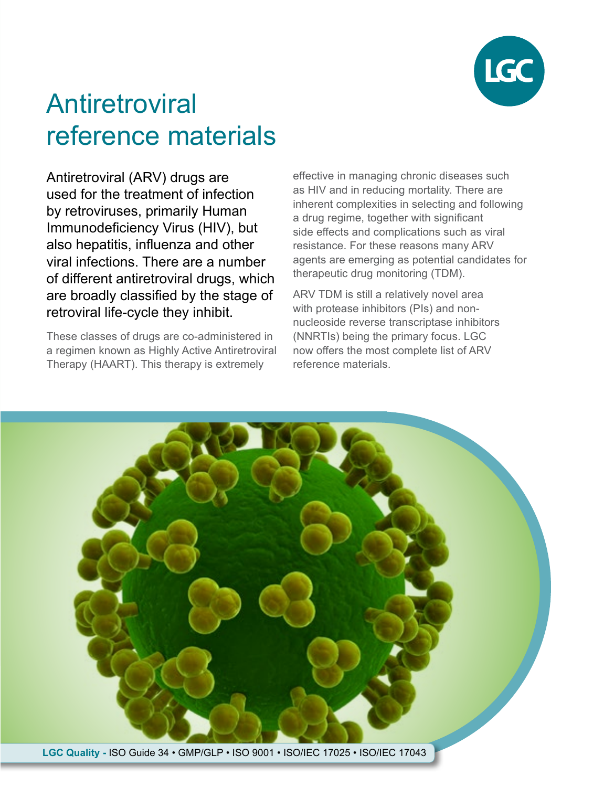

# Antiretroviral reference materials

Antiretroviral (ARV) drugs are used for the treatment of infection by retroviruses, primarily Human Immunodeficiency Virus (HIV), but also hepatitis, influenza and other viral infections. There are a number of different antiretroviral drugs, which are broadly classified by the stage of retroviral life-cycle they inhibit.

These classes of drugs are co-administered in a regimen known as Highly Active Antiretroviral Therapy (HAART). This therapy is extremely

effective in managing chronic diseases such as HIV and in reducing mortality. There are inherent complexities in selecting and following a drug regime, together with significant side effects and complications such as viral resistance. For these reasons many ARV agents are emerging as potential candidates for therapeutic drug monitoring (TDM).

ARV TDM is still a relatively novel area with protease inhibitors (PIs) and nonnucleoside reverse transcriptase inhibitors (NNRTIs) being the primary focus. LGC now offers the most complete list of ARV reference materials.



**LGC Quality -** ISO Guide 34 • GMP/GLP • ISO 9001 • ISO/IEC 17025 • ISO/IEC 17043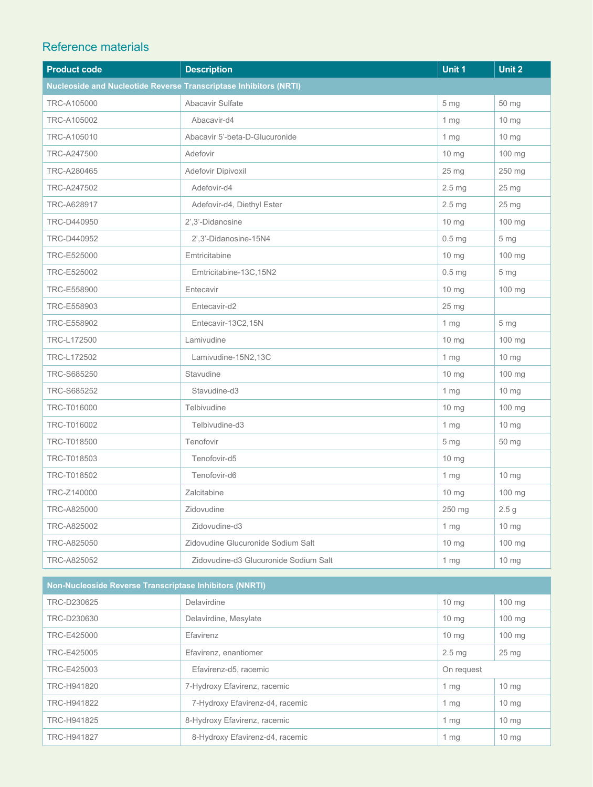### Reference materials

| <b>Product code</b>                                                      | <b>Description</b>                    | Unit 1            | Unit 2           |
|--------------------------------------------------------------------------|---------------------------------------|-------------------|------------------|
| <b>Nucleoside and Nucleotide Reverse Transcriptase Inhibitors (NRTI)</b> |                                       |                   |                  |
| TRC-A105000                                                              | Abacavir Sulfate                      | 5 mg              | 50 mg            |
| TRC-A105002                                                              | Abacavir-d4                           | 1 <sub>mg</sub>   | $10 \, mg$       |
| TRC-A105010                                                              | Abacavir 5'-beta-D-Glucuronide        | $1 \, mg$         | $10 \text{ mg}$  |
| TRC-A247500                                                              | Adefovir                              | $10 \text{ mg}$   | 100 mg           |
| TRC-A280465                                                              | Adefovir Dipivoxil                    | 25 <sub>mg</sub>  | 250 mg           |
| TRC-A247502                                                              | Adefovir-d4                           | $2.5 \mathrm{mg}$ | 25 mg            |
| TRC-A628917                                                              | Adefovir-d4, Diethyl Ester            | 2.5 <sub>mg</sub> | $25 \text{ mg}$  |
| TRC-D440950                                                              | 2',3'-Didanosine                      | 10 mg             | 100 mg           |
| TRC-D440952                                                              | 2',3'-Didanosine-15N4                 | 0.5 <sub>mg</sub> | 5 mg             |
| TRC-E525000                                                              | Emtricitabine                         | $10 \, mg$        | $100$ mg         |
| TRC-E525002                                                              | Emtricitabine-13C, 15N2               | 0.5 <sub>mg</sub> | 5 <sub>mg</sub>  |
| TRC-E558900                                                              | Entecavir                             | 10 mg             | 100 mg           |
| TRC-E558903                                                              | Entecavir-d2                          | 25 <sub>mg</sub>  |                  |
| TRC-E558902                                                              | Entecavir-13C2,15N                    | 1 <sub>mg</sub>   | 5 <sub>mg</sub>  |
| TRC-L172500                                                              | Lamivudine                            | 10 <sub>mg</sub>  | 100 mg           |
| TRC-L172502                                                              | Lamivudine-15N2,13C                   | 1 <sub>mg</sub>   | $10 \, mg$       |
| TRC-S685250                                                              | Stavudine                             | $10 \text{ mg}$   | 100 mg           |
| TRC-S685252                                                              | Stavudine-d3                          | 1 <sub>mg</sub>   | $10 \text{ mg}$  |
| TRC-T016000                                                              | Telbivudine                           | $10 \text{ mg}$   | 100 mg           |
| TRC-T016002                                                              | Telbivudine-d3                        | 1 <sub>mg</sub>   | $10 \text{ mg}$  |
| TRC-T018500                                                              | Tenofovir                             | 5 <sub>mg</sub>   | 50 mg            |
| TRC-T018503                                                              | Tenofovir-d5                          | $10 \text{ mg}$   |                  |
| TRC-T018502                                                              | Tenofovir-d6                          | 1 <sub>mg</sub>   | $10 \text{ mg}$  |
| TRC-Z140000                                                              | Zalcitabine                           | $10 \text{ mg}$   | $100$ mg         |
| TRC-A825000                                                              | Zidovudine                            | 250 mg            | 2.5 <sub>g</sub> |
| TRC-A825002                                                              | Zidovudine-d3                         | 1 <sub>mg</sub>   | $10 \text{ mg}$  |
| TRC-A825050                                                              | Zidovudine Glucuronide Sodium Salt    | $10 \text{ mg}$   | 100 mg           |
| TRC-A825052                                                              | Zidovudine-d3 Glucuronide Sodium Salt | $1 \, mg$         | $10 \text{ mg}$  |

| <b>Non-Nucleoside Reverse Transcriptase Inhibitors (NNRTI)</b> |                                 |                   |                  |
|----------------------------------------------------------------|---------------------------------|-------------------|------------------|
| TRC-D230625                                                    | Delavirdine                     | 10 <sub>mg</sub>  | $100 \text{ mg}$ |
| TRC-D230630                                                    | Delavirdine, Mesylate           | $10 \text{ mg}$   | $100 \text{ mg}$ |
| TRC-E425000                                                    | Efavirenz                       | 10 <sub>mg</sub>  | $100 \text{ mg}$ |
| TRC-E425005                                                    | Efavirenz, enantiomer           | 2.5 <sub>mg</sub> | 25 <sub>mg</sub> |
| TRC-E425003                                                    | Efavirenz-d5, racemic           | On request        |                  |
| TRC-H941820                                                    | 7-Hydroxy Efavirenz, racemic    | 1 $mg$            | $10 \text{ mg}$  |
| TRC-H941822                                                    | 7-Hydroxy Efavirenz-d4, racemic | 1 $mg$            | $10 \text{ mg}$  |
| TRC-H941825                                                    | 8-Hydroxy Efavirenz, racemic    | 1 $mg$            | $10 \text{ mg}$  |
| TRC-H941827                                                    | 8-Hydroxy Efavirenz-d4, racemic | 1 <sub>mq</sub>   | $10 \text{ mg}$  |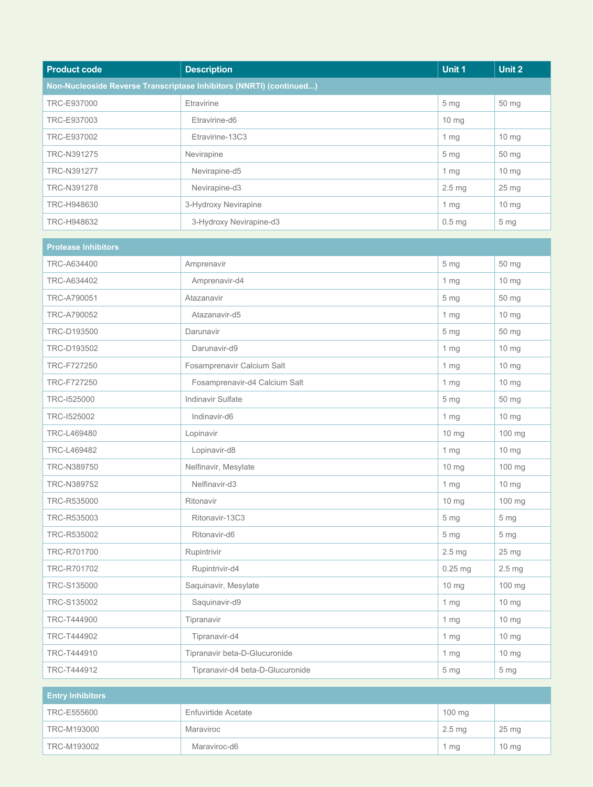| <b>Product code</b> | <b>Description</b>                                                  | Unit 1            | Unit 2          |
|---------------------|---------------------------------------------------------------------|-------------------|-----------------|
|                     | Non-Nucleoside Reverse Transcriptase Inhibitors (NNRTI) (continued) |                   |                 |
| TRC-E937000         | Etravirine                                                          | 5 <sub>mq</sub>   | 50 mg           |
| TRC-E937003         | Etravirine-d6                                                       | $10 \text{ mg}$   |                 |
| TRC-E937002         | Etravirine-13C3                                                     | $1 \, mg$         | $10 \text{ mg}$ |
| TRC-N391275         | Nevirapine                                                          | 5 <sub>mg</sub>   | 50 mg           |
| TRC-N391277         | Nevirapine-d5                                                       | $1 \, mg$         | $10 \text{ mg}$ |
| TRC-N391278         | Nevirapine-d3                                                       | 2.5 <sub>mq</sub> | $25 \text{ mg}$ |
| TRC-H948630         | 3-Hydroxy Nevirapine                                                | 1 <sub>mg</sub>   | $10 \text{ mg}$ |
| TRC-H948632         | 3-Hydroxy Nevirapine-d3                                             | 0.5 <sub>mg</sub> | 5 <sub>mg</sub> |

| <b>Protease Inhibitors</b> |                                  |                   |                   |
|----------------------------|----------------------------------|-------------------|-------------------|
| TRC-A634400                | Amprenavir                       | 5 <sub>mg</sub>   | 50 mg             |
| TRC-A634402                | Amprenavir-d4                    | 1 mg              | 10 mg             |
| TRC-A790051                | Atazanavir                       | 5 <sub>mq</sub>   | 50 mg             |
| TRC-A790052                | Atazanavir-d5                    | 1 <sub>mg</sub>   | $10 \text{ mg}$   |
| TRC-D193500                | Darunavir                        | 5 <sub>mg</sub>   | 50 mg             |
| TRC-D193502                | Darunavir-d9                     | 1 mg              | $10 \text{ mg}$   |
| TRC-F727250                | Fosamprenavir Calcium Salt       | 1 <sub>mg</sub>   | 10 <sub>mg</sub>  |
| TRC-F727250                | Fosamprenavir-d4 Calcium Salt    | 1 <sub>mg</sub>   | 10 mg             |
| TRC-1525000                | Indinavir Sulfate                | 5 <sub>mg</sub>   | 50 mg             |
| TRC-1525002                | Indinavir-d6                     | 1 <sub>mg</sub>   | 10 <sub>mg</sub>  |
| TRC-L469480                | Lopinavir                        | 10 mg             | 100 mg            |
| TRC-L469482                | Lopinavir-d8                     | 1 <sub>mg</sub>   | 10 mg             |
| TRC-N389750                | Nelfinavir, Mesylate             | 10 mg             | 100 mg            |
| TRC-N389752                | Nelfinavir-d3                    | 1 <sub>mg</sub>   | 10 mg             |
| TRC-R535000                | Ritonavir                        | 10 mg             | 100 mg            |
| TRC-R535003                | Ritonavir-13C3                   | 5 <sub>mg</sub>   | 5 <sub>mg</sub>   |
| TRC-R535002                | Ritonavir-d6                     | 5 <sub>mg</sub>   | 5 <sub>mg</sub>   |
| TRC-R701700                | Rupintrivir                      | 2.5 <sub>mg</sub> | 25 <sub>mg</sub>  |
| TRC-R701702                | Rupintrivir-d4                   | $0.25$ mg         | 2.5 <sub>mg</sub> |
| TRC-S135000                | Saquinavir, Mesylate             | 10 <sub>mg</sub>  | 100 mg            |
| TRC-S135002                | Saquinavir-d9                    | 1 <sub>mg</sub>   | 10 mg             |
| TRC-T444900                | Tipranavir                       | 1 <sub>mg</sub>   | 10 mg             |
| TRC-T444902                | Tipranavir-d4                    | 1 <sub>mg</sub>   | 10 mg             |
| TRC-T444910                | Tipranavir beta-D-Glucuronide    | 1 <sub>mg</sub>   | 10 mg             |
| TRC-T444912                | Tipranavir-d4 beta-D-Glucuronide | 5 mg              | 5 mg              |

| <b>Entry Inhibitors</b> |                     |                   |            |
|-------------------------|---------------------|-------------------|------------|
| TRC-E555600             | Enfuvirtide Acetate | $100$ mg          |            |
| TRC-M193000             | Maraviroc           | 2.5 <sub>mg</sub> | 25 mg      |
| TRC-M193002             | Maraviroc-d6        | 1 mg              | $10 \, mg$ |